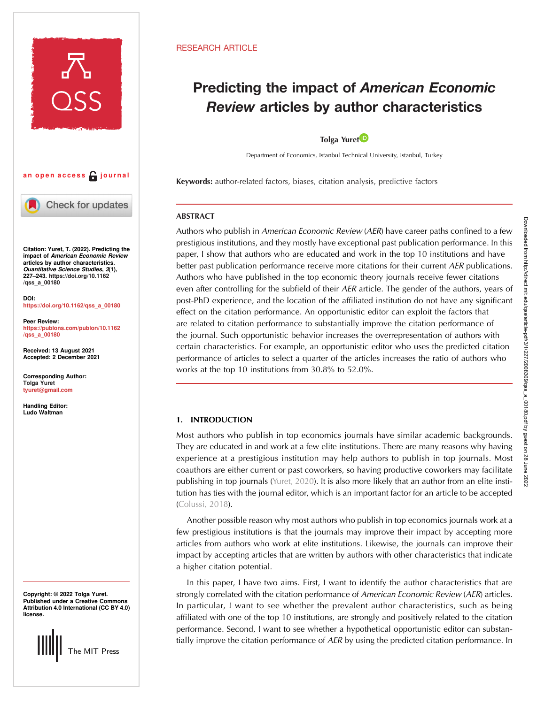

# an open access  $\bigcap$  journal



Check for updates

Citation: Yuret, T. (2022). Predicting the impact of American Economic Review articles by author characteristics. Quantitative Science Studies, 3(1), 227–243. [https://doi.org/10.1162](https://doi.org/10.1162/qss_a_00180) [/qss\\_a\\_00180](https://doi.org/10.1162/qss_a_00180)

DOI: [https://doi.org/10.1162/qss\\_a\\_00180](https://doi.org/10.1162/qss_a_00180)

Peer Review: [https://publons.com/publon/10.1162](https://publons.com/publon/10.1162/qss_a_00180) [/qss\\_a\\_00180](https://publons.com/publon/10.1162/qss_a_00180)

Received: 13 August 2021 Accepted: 2 December 2021

Corresponding Author: Tolga Yuret [tyuret@gmail.com](mailto:tyuret@gmail.com)

Handling Editor: Ludo Waltman

Copyright: © 2022 Tolga Yuret. Published under a Creative Commons Attribution 4.0 International (CC BY 4.0) license.

The MIT Press

# RESEARCH ARTICLE

# Predicting the impact of American Economic Review articles by author characteristics

# Tolga Yuret

Department of Economics, Istanbul Technical University, Istanbul, Turkey

Keywords: author-related factors, biases, citation analysis, predictive factors

# ABSTRACT

Authors who publish in American Economic Review (AER) have career paths confined to a few prestigious institutions, and they mostly have exceptional past publication performance. In this paper, I show that authors who are educated and work in the top 10 institutions and have better past publication performance receive more citations for their current AER publications. Authors who have published in the top economic theory journals receive fewer citations even after controlling for the subfield of their AER article. The gender of the authors, years of post-PhD experience, and the location of the affiliated institution do not have any significant effect on the citation performance. An opportunistic editor can exploit the factors that are related to citation performance to substantially improve the citation performance of the journal. Such opportunistic behavior increases the overrepresentation of authors with certain characteristics. For example, an opportunistic editor who uses the predicted citation performance of articles to select a quarter of the articles increases the ratio of authors who works at the top 10 institutions from 30.8% to 52.0%.

# 1. INTRODUCTION

Most authors who publish in top economics journals have similar academic backgrounds. They are educated in and work at a few elite institutions. There are many reasons why having experience at a prestigious institution may help authors to publish in top journals. Most coauthors are either current or past coworkers, so having productive coworkers may facilitate publishing in top journals [\(Yuret, 2020\)](#page-16-0). It is also more likely that an author from an elite institution has ties with the journal editor, which is an important factor for an article to be accepted ([Colussi, 2018](#page-15-0)).

Another possible reason why most authors who publish in top economics journals work at a few prestigious institutions is that the journals may improve their impact by accepting more articles from authors who work at elite institutions. Likewise, the journals can improve their impact by accepting articles that are written by authors with other characteristics that indicate a higher citation potential.

In this paper, I have two aims. First, I want to identify the author characteristics that are strongly correlated with the citation performance of American Economic Review (AER) articles. In particular, I want to see whether the prevalent author characteristics, such as being affiliated with one of the top 10 institutions, are strongly and positively related to the citation performance. Second, I want to see whether a hypothetical opportunistic editor can substantially improve the citation performance of AER by using the predicted citation performance. In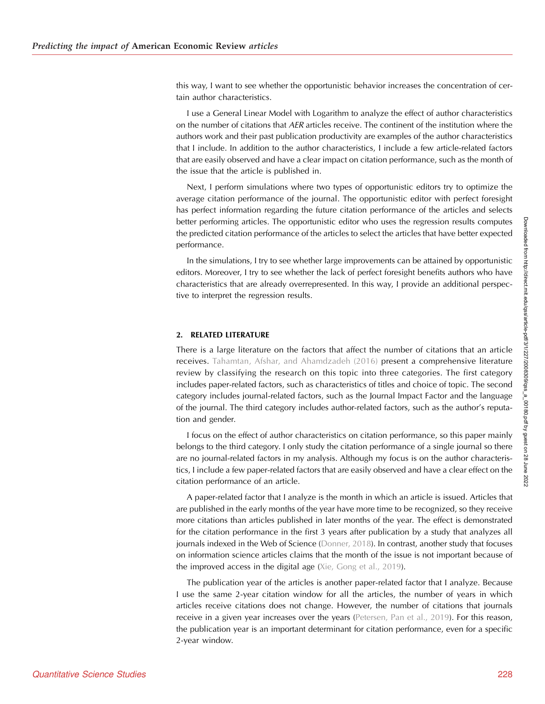this way, I want to see whether the opportunistic behavior increases the concentration of certain author characteristics.

I use a General Linear Model with Logarithm to analyze the effect of author characteristics on the number of citations that AER articles receive. The continent of the institution where the authors work and their past publication productivity are examples of the author characteristics that I include. In addition to the author characteristics, I include a few article-related factors that are easily observed and have a clear impact on citation performance, such as the month of the issue that the article is published in.

Next, I perform simulations where two types of opportunistic editors try to optimize the average citation performance of the journal. The opportunistic editor with perfect foresight has perfect information regarding the future citation performance of the articles and selects better performing articles. The opportunistic editor who uses the regression results computes the predicted citation performance of the articles to select the articles that have better expected performance.

In the simulations, I try to see whether large improvements can be attained by opportunistic editors. Moreover, I try to see whether the lack of perfect foresight benefits authors who have characteristics that are already overrepresented. In this way, I provide an additional perspective to interpret the regression results.

#### 2. RELATED LITERATURE

There is a large literature on the factors that affect the number of citations that an article receives. [Tahamtan, Afshar, and Ahamdzadeh \(2016\)](#page-16-0) present a comprehensive literature review by classifying the research on this topic into three categories. The first category includes paper-related factors, such as characteristics of titles and choice of topic. The second category includes journal-related factors, such as the Journal Impact Factor and the language of the journal. The third category includes author-related factors, such as the author's reputation and gender.

I focus on the effect of author characteristics on citation performance, so this paper mainly belongs to the third category. I only study the citation performance of a single journal so there are no journal-related factors in my analysis. Although my focus is on the author characteristics, I include a few paper-related factors that are easily observed and have a clear effect on the citation performance of an article.

A paper-related factor that I analyze is the month in which an article is issued. Articles that are published in the early months of the year have more time to be recognized, so they receive more citations than articles published in later months of the year. The effect is demonstrated for the citation performance in the first 3 years after publication by a study that analyzes all journals indexed in the Web of Science ([Donner, 2018](#page-15-0)). In contrast, another study that focuses on information science articles claims that the month of the issue is not important because of the improved access in the digital age [\(Xie, Gong et al., 2019\)](#page-16-0).

The publication year of the articles is another paper-related factor that I analyze. Because I use the same 2-year citation window for all the articles, the number of years in which articles receive citations does not change. However, the number of citations that journals receive in a given year increases over the years [\(Petersen, Pan et al., 2019\)](#page-16-0). For this reason, the publication year is an important determinant for citation performance, even for a specific 2-year window.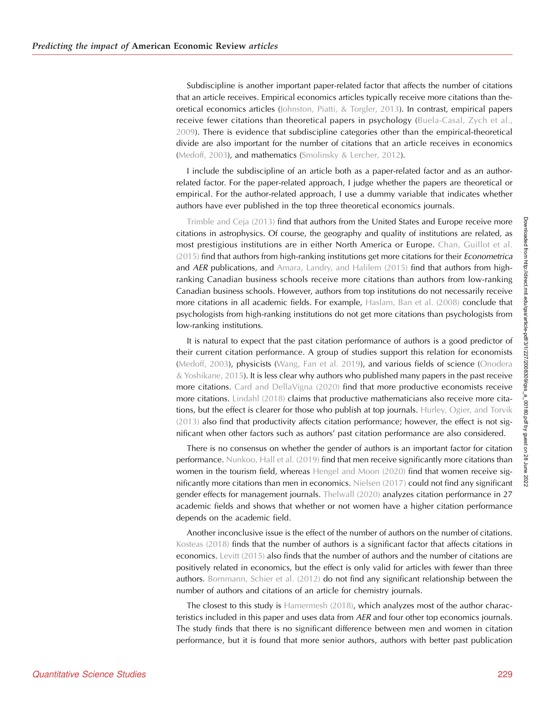Subdiscipline is another important paper-related factor that affects the number of citations that an article receives. Empirical economics articles typically receive more citations than theoretical economics articles [\(Johnston, Piatti, & Torgler, 2013\)](#page-16-0). In contrast, empirical papers receive fewer citations than theoretical papers in psychology [\(Buela-Casal, Zych et al.,](#page-15-0) [2009](#page-15-0)). There is evidence that subdiscipline categories other than the empirical-theoretical divide are also important for the number of citations that an article receives in economics ([Medoff, 2003\)](#page-16-0), and mathematics [\(Smolinsky & Lercher, 2012](#page-16-0)).

I include the subdiscipline of an article both as a paper-related factor and as an authorrelated factor. For the paper-related approach, I judge whether the papers are theoretical or empirical. For the author-related approach, I use a dummy variable that indicates whether authors have ever published in the top three theoretical economics journals.

[Trimble and Ceja \(2013\)](#page-16-0) find that authors from the United States and Europe receive more citations in astrophysics. Of course, the geography and quality of institutions are related, as most prestigious institutions are in either North America or Europe. [Chan, Guillot et al.](#page-15-0) [\(2015\)](#page-15-0) find that authors from high-ranking institutions get more citations for their Econometrica and  $AER$  publications, and [Amara, Landry, and Halilem \(2015\)](#page-15-0) find that authors from highranking Canadian business schools receive more citations than authors from low-ranking Canadian business schools. However, authors from top institutions do not necessarily receive more citations in all academic fields. For example, [Haslam, Ban et al. \(2008\)](#page-16-0) conclude that psychologists from high-ranking institutions do not get more citations than psychologists from low-ranking institutions.

It is natural to expect that the past citation performance of authors is a good predictor of their current citation performance. A group of studies support this relation for economists ([Medoff, 2003\)](#page-16-0), physicists [\(Wang, Fan et al. 2019](#page-16-0)), and various fields of science ([Onodera](#page-16-0)  $&$  Yoshikane, 2015). It is less clear why authors who published many papers in the past receive more citations. [Card and DellaVigna \(2020\)](#page-15-0) find that more productive economists receive more citations. [Lindahl \(2018\)](#page-16-0) claims that productive mathematicians also receive more cita-tions, but the effect is clearer for those who publish at top journals. [Hurley, Ogier, and Torvik](#page-16-0) [\(2013\)](#page-16-0) also find that productivity affects citation performance; however, the effect is not significant when other factors such as authors' past citation performance are also considered.

There is no consensus on whether the gender of authors is an important factor for citation performance. [Nunkoo, Hall et al. \(2019\)](#page-16-0) find that men receive significantly more citations than women in the tourism field, whereas [Hengel and Moon \(2020\)](#page-16-0) find that women receive significantly more citations than men in economics. [Nielsen \(2017\)](#page-16-0) could not find any significant gender effects for management journals. [Thelwall \(2020\)](#page-16-0) analyzes citation performance in 27 academic fields and shows that whether or not women have a higher citation performance depends on the academic field.

Another inconclusive issue is the effect of the number of authors on the number of citations. [Kosteas \(2018\)](#page-16-0) finds that the number of authors is a significant factor that affects citations in economics. [Levitt \(2015\)](#page-16-0) also finds that the number of authors and the number of citations are positively related in economics, but the effect is only valid for articles with fewer than three authors. [Bornmann, Schier et al. \(2012\)](#page-15-0) do not find any significant relationship between the number of authors and citations of an article for chemistry journals.

The closest to this study is  $\forall$  [Hamermesh \(2018\)](#page-16-0), which analyzes most of the author characteristics included in this paper and uses data from AER and four other top economics journals. The study finds that there is no significant difference between men and women in citation performance, but it is found that more senior authors, authors with better past publication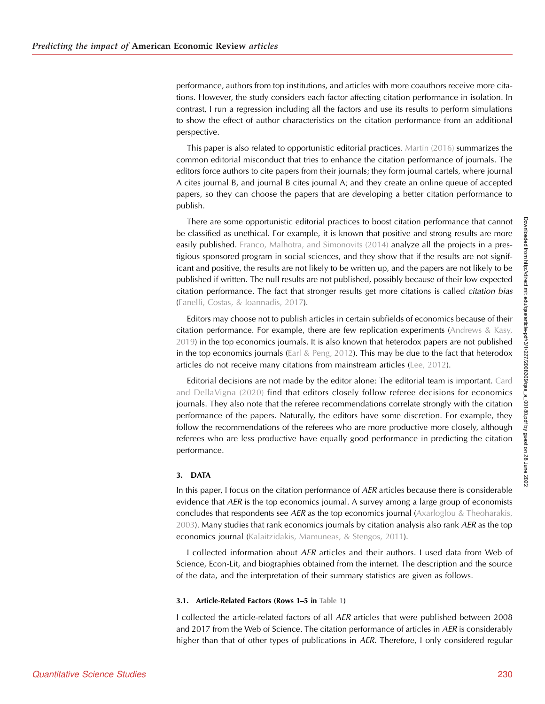performance, authors from top institutions, and articles with more coauthors receive more citations. However, the study considers each factor affecting citation performance in isolation. In contrast, I run a regression including all the factors and use its results to perform simulations to show the effect of author characteristics on the citation performance from an additional perspective.

This paper is also related to opportunistic editorial practices. [Martin \(2016\)](#page-16-0) summarizes the common editorial misconduct that tries to enhance the citation performance of journals. The editors force authors to cite papers from their journals; they form journal cartels, where journal A cites journal B, and journal B cites journal A; and they create an online queue of accepted papers, so they can choose the papers that are developing a better citation performance to publish.

There are some opportunistic editorial practices to boost citation performance that cannot be classified as unethical. For example, it is known that positive and strong results are more easily published. [Franco, Malhotra, and Simonovits \(2014\)](#page-16-0) analyze all the projects in a prestigious sponsored program in social sciences, and they show that if the results are not significant and positive, the results are not likely to be written up, and the papers are not likely to be published if written. The null results are not published, possibly because of their low expected citation performance. The fact that stronger results get more citations is called citation bias ([Fanelli, Costas, & Ioannadis, 2017](#page-16-0)).

Editors may choose not to publish articles in certain subfields of economics because of their citation performance. For example, there are few replication experiments ([Andrews & Kasy,](#page-15-0) [2019\)](#page-15-0) in the top economics journals. It is also known that heterodox papers are not published in the top economics journals (Earl  $&$  Peng, 2012). This may be due to the fact that heterodox articles do not receive many citations from mainstream articles ([Lee, 2012\)](#page-16-0).

Editorial decisions are not made by the editor alone: The editorial team is important. [Card](#page-15-0) [and DellaVigna \(2020\)](#page-15-0) find that editors closely follow referee decisions for economics journals. They also note that the referee recommendations correlate strongly with the citation performance of the papers. Naturally, the editors have some discretion. For example, they follow the recommendations of the referees who are more productive more closely, although referees who are less productive have equally good performance in predicting the citation performance.

# 3. DATA

In this paper, I focus on the citation performance of AER articles because there is considerable evidence that AER is the top economics journal. A survey among a large group of economists concludes that respondents see AER as the top economics journal ([Axarloglou & Theoharakis,](#page-15-0) [2003\)](#page-15-0). Many studies that rank economics journals by citation analysis also rank AER as the top economics journal [\(Kalaitzidakis, Mamuneas, & Stengos, 2011\)](#page-16-0).

I collected information about AER articles and their authors. I used data from Web of Science, Econ-Lit, and biographies obtained from the internet. The description and the source of the data, and the interpretation of their summary statistics are given as follows.

#### 3.1. Article-Related Factors (Rows 1–5 in [Table 1\)](#page-4-0)

I collected the article-related factors of all AER articles that were published between 2008 and 2017 from the Web of Science. The citation performance of articles in AER is considerably higher than that of other types of publications in AER. Therefore, I only considered regular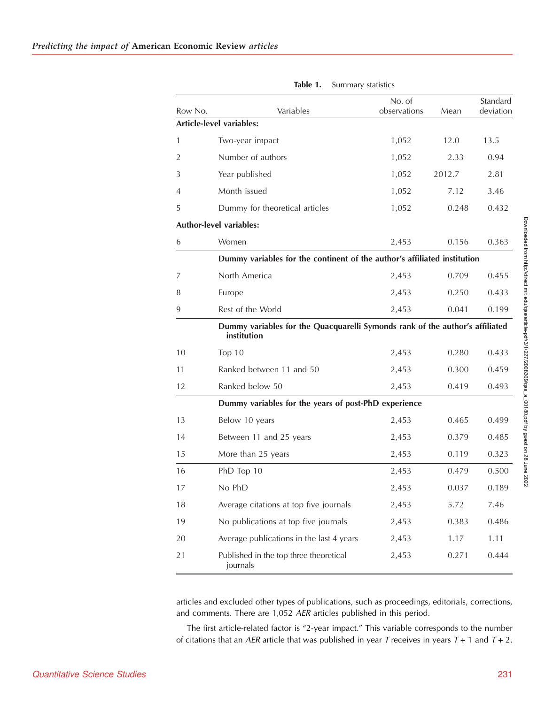<span id="page-4-0"></span>

| Row No.        | Variables                                                                                   | No. of<br>observations | Mean   | Standard<br>deviation |
|----------------|---------------------------------------------------------------------------------------------|------------------------|--------|-----------------------|
|                | Article-level variables:                                                                    |                        |        |                       |
| 1              | Two-year impact                                                                             | 1,052                  | 12.0   | 13.5                  |
| $\overline{2}$ | Number of authors                                                                           | 1,052                  | 2.33   | 0.94                  |
| 3              | Year published                                                                              | 1,052                  | 2012.7 | 2.81                  |
| 4              | Month issued                                                                                | 1,052                  | 7.12   | 3.46                  |
| 5              | Dummy for theoretical articles                                                              | 1,052                  | 0.248  | 0.432                 |
|                | <b>Author-level variables:</b>                                                              |                        |        |                       |
| 6              | Women                                                                                       | 2,453                  | 0.156  | 0.363                 |
|                | Dummy variables for the continent of the author's affiliated institution                    |                        |        |                       |
| 7              | North America                                                                               | 2,453                  | 0.709  | 0.455                 |
| 8              | Europe                                                                                      | 2,453                  | 0.250  | 0.433                 |
| 9              | Rest of the World                                                                           | 2,453                  | 0.041  | 0.199                 |
|                | Dummy variables for the Quacquarelli Symonds rank of the author's affiliated<br>institution |                        |        |                       |
| 10             | Top $10$                                                                                    | 2,453                  | 0.280  | 0.433                 |
| 11             | Ranked between 11 and 50                                                                    | 2,453                  | 0.300  | 0.459                 |
| 12             | Ranked below 50                                                                             | 2,453                  | 0.419  | 0.493                 |
|                | Dummy variables for the years of post-PhD experience                                        |                        |        |                       |
| 13             | Below 10 years                                                                              | 2,453                  | 0.465  | 0.499                 |
| 14             | Between 11 and 25 years                                                                     | 2,453                  | 0.379  | 0.485                 |
| 15             | More than 25 years                                                                          | 2,453                  | 0.119  | 0.323                 |
| 16             | PhD Top 10                                                                                  | 2,453                  | 0.479  | 0.500                 |
| 17             | No PhD                                                                                      | 2,453                  | 0.037  | 0.189                 |
| 18             | Average citations at top five journals                                                      | 2,453                  | 5.72   | 7.46                  |
| 19             | No publications at top five journals                                                        | 2,453                  | 0.383  | 0.486                 |
| 20             | Average publications in the last 4 years                                                    | 2,453                  | 1.17   | 1.11                  |
| 21             | Published in the top three theoretical<br>journals                                          | 2,453                  | 0.271  | 0.444                 |

Table 1. Summary statistics

articles and excluded other types of publications, such as proceedings, editorials, corrections, and comments. There are 1,052 AER articles published in this period.

The first article-related factor is "2-year impact." This variable corresponds to the number of citations that an AER article that was published in year T receives in years  $T + 1$  and  $T + 2$ .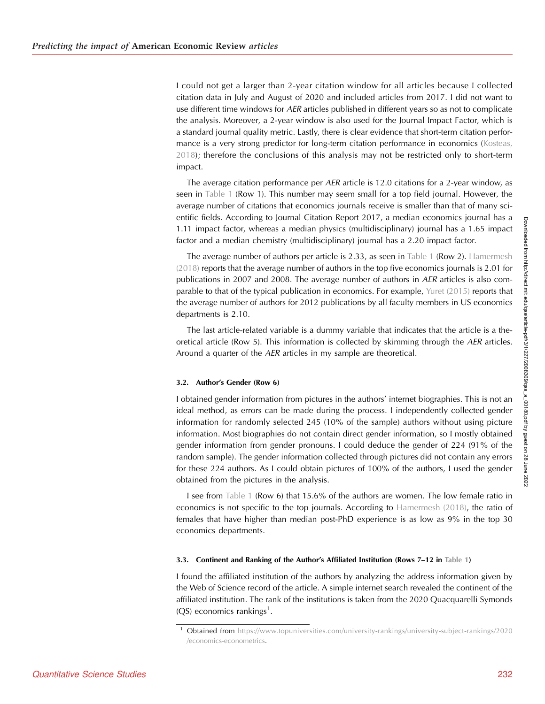I could not get a larger than 2-year citation window for all articles because I collected citation data in July and August of 2020 and included articles from 2017. I did not want to use different time windows for AER articles published in different years so as not to complicate the analysis. Moreover, a 2-year window is also used for the Journal Impact Factor, which is a standard journal quality metric. Lastly, there is clear evidence that short-term citation perfor-mance is a very strong predictor for long-term citation performance in economics ([Kosteas,](#page-16-0) [2018\)](#page-16-0); therefore the conclusions of this analysis may not be restricted only to short-term impact.

The average citation performance per AER article is 12.0 citations for a 2-year window, as seen in [Table 1](#page-4-0) (Row 1). This number may seem small for a top field journal. However, the average number of citations that economics journals receive is smaller than that of many scientific fields. According to Journal Citation Report 2017, a median economics journal has a 1.11 impact factor, whereas a median physics (multidisciplinary) journal has a 1.65 impact factor and a median chemistry (multidisciplinary) journal has a 2.20 impact factor.

The average number of authors per article is 2.33, as seen in [Table 1](#page-4-0) (Row 2). [Hamermesh](#page-16-0) [\(2018\)](#page-16-0) reports that the average number of authors in the top five economics journals is 2.01 for publications in 2007 and 2008. The average number of authors in AER articles is also comparable to that of the typical publication in economics. For example, [Yuret \(2015\)](#page-16-0) reports that the average number of authors for 2012 publications by all faculty members in US economics departments is 2.10.

The last article-related variable is a dummy variable that indicates that the article is a theoretical article (Row 5). This information is collected by skimming through the AER articles. Around a quarter of the AER articles in my sample are theoretical.

#### 3.2. Author's Gender (Row 6)

I obtained gender information from pictures in the authors' internet biographies. This is not an ideal method, as errors can be made during the process. I independently collected gender information for randomly selected 245 (10% of the sample) authors without using picture information. Most biographies do not contain direct gender information, so I mostly obtained gender information from gender pronouns. I could deduce the gender of 224 (91% of the random sample). The gender information collected through pictures did not contain any errors for these 224 authors. As I could obtain pictures of 100% of the authors, I used the gender obtained from the pictures in the analysis.

I see from [Table 1](#page-4-0) (Row 6) that 15.6% of the authors are women. The low female ratio in economics is not specific to the top journals. According to [Hamermesh \(2018\)](#page-16-0), the ratio of females that have higher than median post-PhD experience is as low as 9% in the top 30 economics departments.

#### 3.3. Continent and Ranking of the Author's Affiliated Institution (Rows 7–12 in [Table 1\)](#page-4-0)

I found the affiliated institution of the authors by analyzing the address information given by the Web of Science record of the article. A simple internet search revealed the continent of the affiliated institution. The rank of the institutions is taken from the 2020 Quacquarelli Symonds (QS) economics rankings<sup>1</sup>.

<sup>&</sup>lt;sup>1</sup> Obtained from [https://www.topuniversities.com/university-rankings/university-subject-rankings/2020](https://www.topuniversities.com/university-rankings/university-subject-rankings/2020/economics-econometrics) [/economics-econometrics.](https://www.topuniversities.com/university-rankings/university-subject-rankings/2020/economics-econometrics)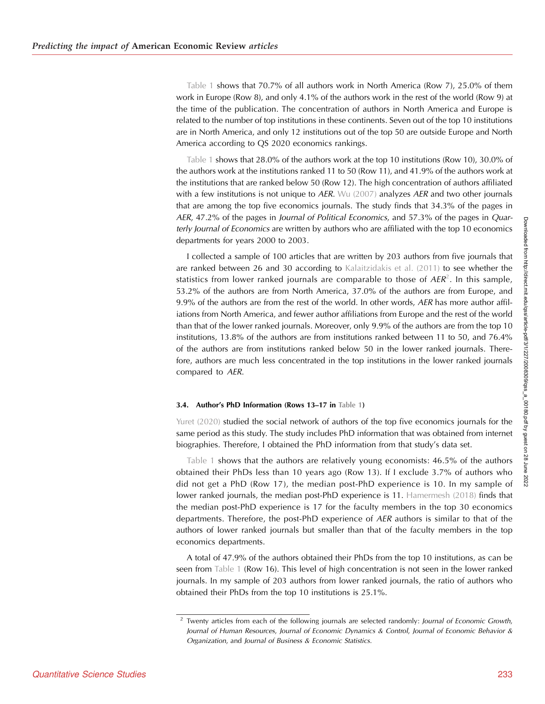[Table 1](#page-4-0) shows that 70.7% of all authors work in North America (Row 7), 25.0% of them work in Europe (Row 8), and only 4.1% of the authors work in the rest of the world (Row 9) at the time of the publication. The concentration of authors in North America and Europe is related to the number of top institutions in these continents. Seven out of the top 10 institutions are in North America, and only 12 institutions out of the top 50 are outside Europe and North America according to QS 2020 economics rankings.

[Table 1](#page-4-0) shows that 28.0% of the authors work at the top 10 institutions (Row 10), 30.0% of the authors work at the institutions ranked 11 to 50 (Row 11), and 41.9% of the authors work at the institutions that are ranked below 50 (Row 12). The high concentration of authors affiliated with a few institutions is not unique to  $AER$ . [Wu \(2007\)](#page-16-0) analyzes  $AER$  and two other journals that are among the top five economics journals. The study finds that 34.3% of the pages in AER, 47.2% of the pages in Journal of Political Economics, and 57.3% of the pages in Quarterly Journal of Economics are written by authors who are affiliated with the top 10 economics departments for years 2000 to 2003.

I collected a sample of 100 articles that are written by 203 authors from five journals that are ranked between 26 and 30 according to [Kalaitzidakis et al. \(2011\)](#page-16-0) to see whether the statistics from lower ranked journals are comparable to those of  $AER^2$ . In this sample, 53.2% of the authors are from North America, 37.0% of the authors are from Europe, and 9.9% of the authors are from the rest of the world. In other words, AER has more author affiliations from North America, and fewer author affiliations from Europe and the rest of the world than that of the lower ranked journals. Moreover, only 9.9% of the authors are from the top 10 institutions, 13.8% of the authors are from institutions ranked between 11 to 50, and 76.4% of the authors are from institutions ranked below 50 in the lower ranked journals. Therefore, authors are much less concentrated in the top institutions in the lower ranked journals compared to AER.

#### 3.4. Author's PhD Information (Rows 13–17 in [Table 1](#page-4-0))

[Yuret \(2020\)](#page-16-0) studied the social network of authors of the top five economics journals for the same period as this study. The study includes PhD information that was obtained from internet biographies. Therefore, I obtained the PhD information from that study's data set.

[Table 1](#page-4-0) shows that the authors are relatively young economists: 46.5% of the authors obtained their PhDs less than 10 years ago (Row 13). If I exclude 3.7% of authors who did not get a PhD (Row 17), the median post-PhD experience is 10. In my sample of lower ranked journals, the median post-PhD experience is 11. [Hamermesh \(2018\)](#page-16-0) finds that the median post-PhD experience is 17 for the faculty members in the top 30 economics departments. Therefore, the post-PhD experience of AER authors is similar to that of the authors of lower ranked journals but smaller than that of the faculty members in the top economics departments.

A total of 47.9% of the authors obtained their PhDs from the top 10 institutions, as can be seen from [Table 1](#page-4-0) (Row 16). This level of high concentration is not seen in the lower ranked journals. In my sample of 203 authors from lower ranked journals, the ratio of authors who obtained their PhDs from the top 10 institutions is 25.1%.

<sup>&</sup>lt;sup>2</sup> Twenty articles from each of the following journals are selected randomly: Journal of Economic Growth, Journal of Human Resources, Journal of Economic Dynamics & Control, Journal of Economic Behavior & Organization, and Journal of Business & Economic Statistics.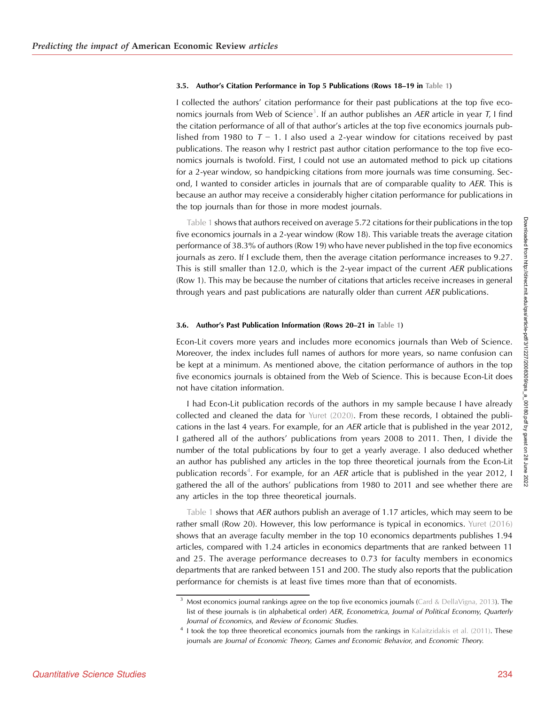#### 3.5. Author's Citation Performance in Top 5 Publications (Rows 18–19 in [Table 1](#page-4-0))

I collected the authors' citation performance for their past publications at the top five economics journals from Web of Science<sup>3</sup>. If an author publishes an AER article in year T, I find the citation performance of all of that author's articles at the top five economics journals published from 1980 to  $T - 1$ . I also used a 2-year window for citations received by past publications. The reason why I restrict past author citation performance to the top five economics journals is twofold. First, I could not use an automated method to pick up citations for a 2-year window, so handpicking citations from more journals was time consuming. Second, I wanted to consider articles in journals that are of comparable quality to AER. This is because an author may receive a considerably higher citation performance for publications in the top journals than for those in more modest journals.

[Table 1](#page-4-0) shows that authors received on average 5.72 citations for their publications in the top five economics journals in a 2-year window (Row 18). This variable treats the average citation performance of 38.3% of authors (Row 19) who have never published in the top five economics journals as zero. If I exclude them, then the average citation performance increases to 9.27. This is still smaller than 12.0, which is the 2-year impact of the current AER publications (Row 1). This may be because the number of citations that articles receive increases in general through years and past publications are naturally older than current  $AER$  publications.

### 3.6. Author's Past Publication Information (Rows 20–21 in [Table 1](#page-4-0))

Econ-Lit covers more years and includes more economics journals than Web of Science. Moreover, the index includes full names of authors for more years, so name confusion can be kept at a minimum. As mentioned above, the citation performance of authors in the top five economics journals is obtained from the Web of Science. This is because Econ-Lit does not have citation information.

I had Econ-Lit publication records of the authors in my sample because I have already collected and cleaned the data for [Yuret \(2020\)](#page-16-0). From these records, I obtained the publications in the last 4 years. For example, for an AER article that is published in the year 2012, I gathered all of the authors' publications from years 2008 to 2011. Then, I divide the number of the total publications by four to get a yearly average. I also deduced whether an author has published any articles in the top three theoretical journals from the Econ-Lit publication records<sup>4</sup>. For example, for an AER article that is published in the year 2012, I gathered the all of the authors' publications from 1980 to 2011 and see whether there are any articles in the top three theoretical journals.

[Table 1](#page-4-0) shows that AER authors publish an average of 1.17 articles, which may seem to be rather small (Row 20). However, this low performance is typical in economics. [Yuret \(2016\)](#page-16-0) shows that an average faculty member in the top 10 economics departments publishes 1.94 articles, compared with 1.24 articles in economics departments that are ranked between 11 and 25. The average performance decreases to 0.73 for faculty members in economics departments that are ranked between 151 and 200. The study also reports that the publication performance for chemists is at least five times more than that of economists.

<sup>&</sup>lt;sup>3</sup> Most economics journal rankings agree on the top five economics journals ([Card & DellaVigna, 2013\)](#page-15-0). The list of these journals is (in alphabetical order) AER, Econometrica, Journal of Political Economy, Quarterly Journal of Economics, and Review of Economic Studies.

<sup>&</sup>lt;sup>4</sup> I took the top three theoretical economics journals from the rankings in [Kalaitzidakis et al. \(2011\).](#page-16-0) These journals are Journal of Economic Theory, Games and Economic Behavior, and Economic Theory.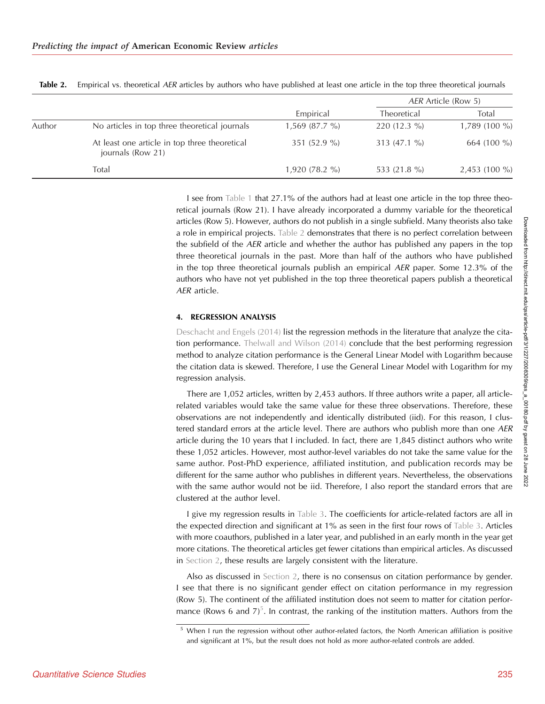|        |                                                                    | Empirical       | AER Article (Row 5) |                 |
|--------|--------------------------------------------------------------------|-----------------|---------------------|-----------------|
|        |                                                                    |                 | Theoretical         | Total           |
| Author | No articles in top three theoretical journals                      | $1,569(87.7\%)$ | $220(12.3\%)$       | $1,789(100\%)$  |
|        | At least one article in top three theoretical<br>journals (Row 21) | 351 $(52.9\% )$ | $313(47.1\%)$       | 664 (100 %)     |
|        | Total                                                              | $1,920(78.2\%)$ | 533 (21.8 %)        | $2,453$ (100 %) |

Table 2. Empirical vs. theoretical AER articles by authors who have published at least one article in the top three theoretical journals

I see from [Table 1](#page-4-0) that 27.1% of the authors had at least one article in the top three theoretical journals (Row 21). I have already incorporated a dummy variable for the theoretical articles (Row 5). However, authors do not publish in a single subfield. Many theorists also take a role in empirical projects. Table 2 demonstrates that there is no perfect correlation between the subfield of the AER article and whether the author has published any papers in the top three theoretical journals in the past. More than half of the authors who have published in the top three theoretical journals publish an empirical AER paper. Some 12.3% of the authors who have not yet published in the top three theoretical papers publish a theoretical AER article.

#### 4. REGRESSION ANALYSIS

[Deschacht and Engels \(2014\)](#page-15-0) list the regression methods in the literature that analyze the citation performance. [Thelwall and Wilson \(2014\)](#page-16-0) conclude that the best performing regression method to analyze citation performance is the General Linear Model with Logarithm because the citation data is skewed. Therefore, I use the General Linear Model with Logarithm for my regression analysis.

There are 1,052 articles, written by 2,453 authors. If three authors write a paper, all articlerelated variables would take the same value for these three observations. Therefore, these observations are not independently and identically distributed (iid). For this reason, I clustered standard errors at the article level. There are authors who publish more than one AER article during the 10 years that I included. In fact, there are 1,845 distinct authors who write these 1,052 articles. However, most author-level variables do not take the same value for the same author. Post-PhD experience, affiliated institution, and publication records may be different for the same author who publishes in different years. Nevertheless, the observations with the same author would not be iid. Therefore, I also report the standard errors that are clustered at the author level.

I give my regression results in [Table 3.](#page-9-0) The coefficients for article-related factors are all in the expected direction and significant at 1% as seen in the first four rows of [Table 3](#page-9-0). Articles with more coauthors, published in a later year, and published in an early month in the year get more citations. The theoretical articles get fewer citations than empirical articles. As discussed in Section 2, these results are largely consistent with the literature.

Also as discussed in Section 2, there is no consensus on citation performance by gender. I see that there is no significant gender effect on citation performance in my regression (Row 5). The continent of the affiliated institution does not seem to matter for citation performance (Rows 6 and  $7^5$ . In contrast, the ranking of the institution matters. Authors from the

<sup>&</sup>lt;sup>5</sup> When I run the regression without other author-related factors, the North American affiliation is positive and significant at 1%, but the result does not hold as more author-related controls are added.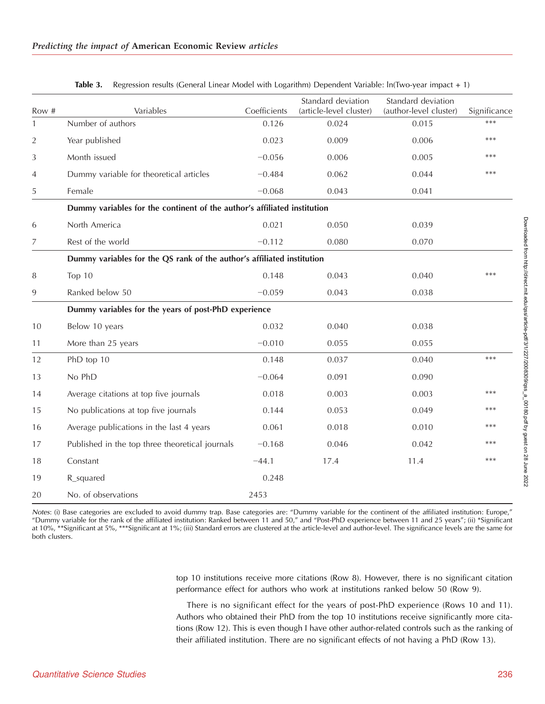<span id="page-9-0"></span>

|                |                                                                          |                       | Standard deviation               | Standard deviation              |                     |
|----------------|--------------------------------------------------------------------------|-----------------------|----------------------------------|---------------------------------|---------------------|
| Row #<br>1     | Variables<br>Number of authors                                           | Coefficients<br>0.126 | (article-level cluster)<br>0.024 | (author-level cluster)<br>0.015 | Significance<br>*** |
|                |                                                                          |                       |                                  |                                 |                     |
| $\overline{2}$ | Year published                                                           | 0.023                 | 0.009                            | 0.006                           | ***                 |
| 3              | Month issued                                                             | $-0.056$              | 0.006                            | 0.005                           | ***                 |
| 4              | Dummy variable for theoretical articles                                  | $-0.484$              | 0.062                            | 0.044                           | $***$               |
| 5              | Female                                                                   | $-0.068$              | 0.043                            | 0.041                           |                     |
|                | Dummy variables for the continent of the author's affiliated institution |                       |                                  |                                 |                     |
| 6              | North America                                                            | 0.021                 | 0.050                            | 0.039                           |                     |
| 7              | Rest of the world                                                        | $-0.112$              | 0.080                            | 0.070                           |                     |
|                | Dummy variables for the QS rank of the author's affiliated institution   |                       |                                  |                                 |                     |
| 8              | Top 10                                                                   | 0.148                 | 0.043                            | 0.040                           | ***                 |
| 9              | Ranked below 50                                                          | $-0.059$              | 0.043                            | 0.038                           |                     |
|                | Dummy variables for the years of post-PhD experience                     |                       |                                  |                                 |                     |
| 10             | Below 10 years                                                           | 0.032                 | 0.040                            | 0.038                           |                     |
| 11             | More than 25 years                                                       | $-0.010$              | 0.055                            | 0.055                           |                     |
| 12             | PhD top 10                                                               | 0.148                 | 0.037                            | 0.040                           | $***$               |
| 13             | No PhD                                                                   | $-0.064$              | 0.091                            | 0.090                           |                     |
| 14             | Average citations at top five journals                                   | 0.018                 | 0.003                            | 0.003                           | $***$               |
| 15             | No publications at top five journals                                     | 0.144                 | 0.053                            | 0.049                           | $***$               |
| 16             | Average publications in the last 4 years                                 | 0.061                 | 0.018                            | 0.010                           | ***                 |
| 17             | Published in the top three theoretical journals                          | $-0.168$              | 0.046                            | 0.042                           | $***$               |
| 18             | Constant                                                                 | $-44.1$               | 17.4                             | 11.4                            | $***$               |
| 19             | R_squared                                                                | 0.248                 |                                  |                                 |                     |
| 20             | No. of observations                                                      | 2453                  |                                  |                                 |                     |

Table 3. Regression results (General Linear Model with Logarithm) Dependent Variable: ln(Two-year impact + 1)

Notes: (i) Base categories are excluded to avoid dummy trap. Base categories are: "Dummy variable for the continent of the affiliated institution: Europe," "Dummy variable for the rank of the affiliated institution: Ranked between 11 and 50," and "Post-PhD experience between 11 and 25 years"; (ii) \*Significant at 10%, \*\*Significant at 5%, \*\*\*Significant at 1%; (iii) Standard errors are clustered at the article-level and author-level. The significance levels are the same for both clusters.

> top 10 institutions receive more citations (Row 8). However, there is no significant citation performance effect for authors who work at institutions ranked below 50 (Row 9).

> There is no significant effect for the years of post-PhD experience (Rows 10 and 11). Authors who obtained their PhD from the top 10 institutions receive significantly more citations (Row 12). This is even though I have other author-related controls such as the ranking of their affiliated institution. There are no significant effects of not having a PhD (Row 13).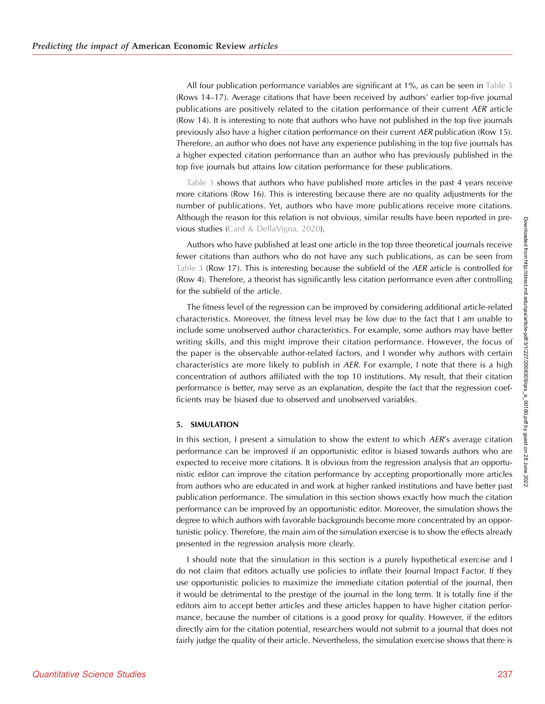All four publication performance variables are significant at 1%, as can be seen in [Table 3](#page-9-0) (Rows 14–17). Average citations that have been received by authors' earlier top-five journal publications are positively related to the citation performance of their current AER article (Row 14). It is interesting to note that authors who have not published in the top five journals previously also have a higher citation performance on their current AER publication (Row 15). Therefore, an author who does not have any experience publishing in the top five journals has a higher expected citation performance than an author who has previously published in the top five journals but attains low citation performance for these publications.

[Table 3](#page-9-0) shows that authors who have published more articles in the past 4 years receive more citations (Row 16). This is interesting because there are no quality adjustments for the number of publications. Yet, authors who have more publications receive more citations. Although the reason for this relation is not obvious, similar results have been reported in previous studies ([Card & DellaVigna, 2020](#page-15-0)).

Authors who have published at least one article in the top three theoretical journals receive fewer citations than authors who do not have any such publications, as can be seen from [Table 3](#page-9-0) (Row 17). This is interesting because the subfield of the  $AER$  article is controlled for (Row 4). Therefore, a theorist has significantly less citation performance even after controlling for the subfield of the article.

The fitness level of the regression can be improved by considering additional article-related characteristics. Moreover, the fitness level may be low due to the fact that I am unable to include some unobserved author characteristics. For example, some authors may have better writing skills, and this might improve their citation performance. However, the focus of the paper is the observable author-related factors, and I wonder why authors with certain characteristics are more likely to publish in  $AER$ . For example, I note that there is a high concentration of authors affiliated with the top 10 institutions. My result, that their citation performance is better, may serve as an explanation, despite the fact that the regression coefficients may be biased due to observed and unobserved variables.

#### 5. SIMULATION

In this section, I present a simulation to show the extent to which  $AER$ 's average citation performance can be improved if an opportunistic editor is biased towards authors who are expected to receive more citations. It is obvious from the regression analysis that an opportunistic editor can improve the citation performance by accepting proportionally more articles from authors who are educated in and work at higher ranked institutions and have better past publication performance. The simulation in this section shows exactly how much the citation performance can be improved by an opportunistic editor. Moreover, the simulation shows the degree to which authors with favorable backgrounds become more concentrated by an opportunistic policy. Therefore, the main aim of the simulation exercise is to show the effects already presented in the regression analysis more clearly.

I should note that the simulation in this section is a purely hypothetical exercise and I do not claim that editors actually use policies to inflate their Journal Impact Factor. If they use opportunistic policies to maximize the immediate citation potential of the journal, then it would be detrimental to the prestige of the journal in the long term. It is totally fine if the editors aim to accept better articles and these articles happen to have higher citation performance, because the number of citations is a good proxy for quality. However, if the editors directly aim for the citation potential, researchers would not submit to a journal that does not fairly judge the quality of their article. Nevertheless, the simulation exercise shows that there is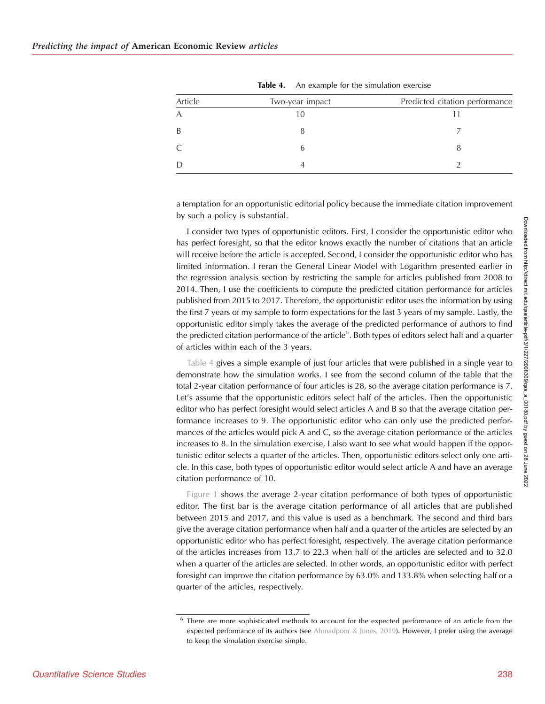| Article        | Two-year impact | Predicted citation performance |
|----------------|-----------------|--------------------------------|
| $\overline{A}$ |                 |                                |
| B              |                 |                                |
| C              |                 |                                |
| D              |                 |                                |

Table 4. An example for the simulation exercise

a temptation for an opportunistic editorial policy because the immediate citation improvement by such a policy is substantial.

I consider two types of opportunistic editors. First, I consider the opportunistic editor who has perfect foresight, so that the editor knows exactly the number of citations that an article will receive before the article is accepted. Second, I consider the opportunistic editor who has limited information. I reran the General Linear Model with Logarithm presented earlier in the regression analysis section by restricting the sample for articles published from 2008 to 2014. Then, I use the coefficients to compute the predicted citation performance for articles published from 2015 to 2017. Therefore, the opportunistic editor uses the information by using the first 7 years of my sample to form expectations for the last 3 years of my sample. Lastly, the opportunistic editor simply takes the average of the predicted performance of authors to find the predicted citation performance of the article $^6$ . Both types of editors select half and a quarter of articles within each of the 3 years.

Table 4 gives a simple example of just four articles that were published in a single year to demonstrate how the simulation works. I see from the second column of the table that the total 2-year citation performance of four articles is 28, so the average citation performance is 7. Let's assume that the opportunistic editors select half of the articles. Then the opportunistic editor who has perfect foresight would select articles A and B so that the average citation performance increases to 9. The opportunistic editor who can only use the predicted performances of the articles would pick A and C, so the average citation performance of the articles increases to 8. In the simulation exercise, I also want to see what would happen if the opportunistic editor selects a quarter of the articles. Then, opportunistic editors select only one article. In this case, both types of opportunistic editor would select article A and have an average citation performance of 10.

[Figure 1](#page-12-0) shows the average 2-year citation performance of both types of opportunistic editor. The first bar is the average citation performance of all articles that are published between 2015 and 2017, and this value is used as a benchmark. The second and third bars give the average citation performance when half and a quarter of the articles are selected by an opportunistic editor who has perfect foresight, respectively. The average citation performance of the articles increases from 13.7 to 22.3 when half of the articles are selected and to 32.0 when a quarter of the articles are selected. In other words, an opportunistic editor with perfect foresight can improve the citation performance by 63.0% and 133.8% when selecting half or a quarter of the articles, respectively.

<sup>6</sup> There are more sophisticated methods to account for the expected performance of an article from the expected performance of its authors (see [Ahmadpoor & Jones, 2019](#page-15-0)). However, I prefer using the average to keep the simulation exercise simple.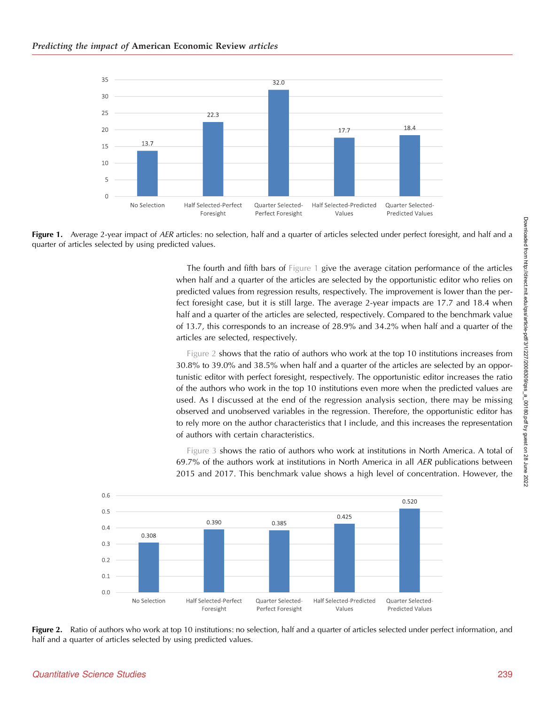<span id="page-12-0"></span>

Figure 1. Average 2-year impact of AER articles: no selection, half and a quarter of articles selected under perfect foresight, and half and a quarter of articles selected by using predicted values.

The fourth and fifth bars of Figure 1 give the average citation performance of the articles when half and a quarter of the articles are selected by the opportunistic editor who relies on predicted values from regression results, respectively. The improvement is lower than the perfect foresight case, but it is still large. The average 2-year impacts are 17.7 and 18.4 when half and a quarter of the articles are selected, respectively. Compared to the benchmark value of 13.7, this corresponds to an increase of 28.9% and 34.2% when half and a quarter of the articles are selected, respectively.

Figure 2 shows that the ratio of authors who work at the top 10 institutions increases from 30.8% to 39.0% and 38.5% when half and a quarter of the articles are selected by an opportunistic editor with perfect foresight, respectively. The opportunistic editor increases the ratio of the authors who work in the top 10 institutions even more when the predicted values are used. As I discussed at the end of the regression analysis section, there may be missing observed and unobserved variables in the regression. Therefore, the opportunistic editor has to rely more on the author characteristics that I include, and this increases the representation of authors with certain characteristics.

[Figure 3](#page-13-0) shows the ratio of authors who work at institutions in North America. A total of 69.7% of the authors work at institutions in North America in all AER publications between 2015 and 2017. This benchmark value shows a high level of concentration. However, the



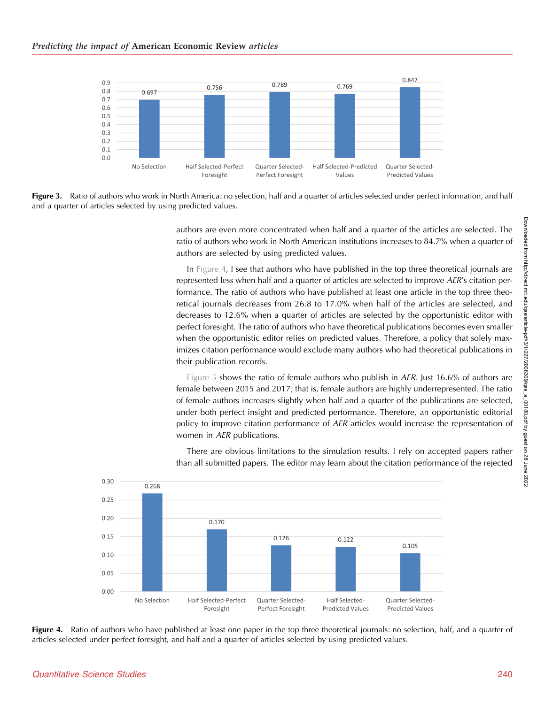<span id="page-13-0"></span>

Figure 3. Ratio of authors who work in North America: no selection, half and a quarter of articles selected under perfect information, and half and a quarter of articles selected by using predicted values.

authors are even more concentrated when half and a quarter of the articles are selected. The ratio of authors who work in North American institutions increases to 84.7% when a quarter of authors are selected by using predicted values.

In Figure 4, I see that authors who have published in the top three theoretical journals are represented less when half and a quarter of articles are selected to improve AER's citation performance. The ratio of authors who have published at least one article in the top three theoretical journals decreases from 26.8 to 17.0% when half of the articles are selected, and decreases to 12.6% when a quarter of articles are selected by the opportunistic editor with perfect foresight. The ratio of authors who have theoretical publications becomes even smaller when the opportunistic editor relies on predicted values. Therefore, a policy that solely maximizes citation performance would exclude many authors who had theoretical publications in their publication records.

[Figure 5](#page-14-0) shows the ratio of female authors who publish in AER. Just 16.6% of authors are female between 2015 and 2017; that is, female authors are highly underrepresented. The ratio of female authors increases slightly when half and a quarter of the publications are selected, under both perfect insight and predicted performance. Therefore, an opportunistic editorial policy to improve citation performance of AER articles would increase the representation of women in AER publications.



There are obvious limitations to the simulation results. I rely on accepted papers rather than all submitted papers. The editor may learn about the citation performance of the rejected

Figure 4. Ratio of authors who have published at least one paper in the top three theoretical journals: no selection, half, and a quarter of articles selected under perfect foresight, and half and a quarter of articles selected by using predicted values.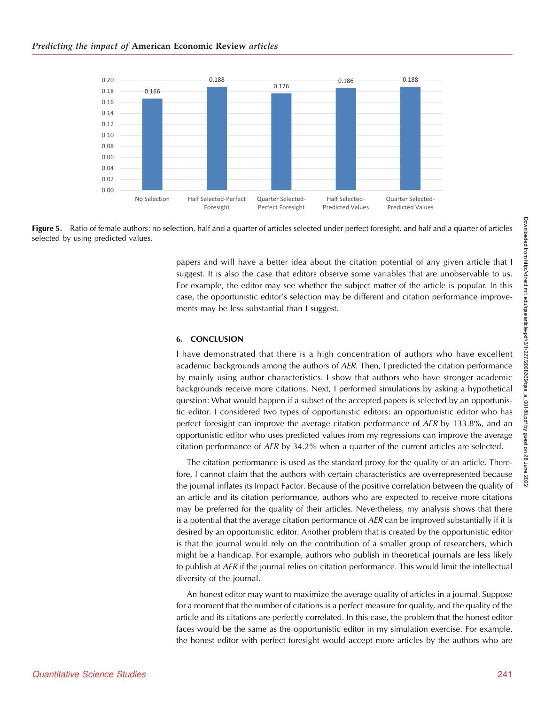<span id="page-14-0"></span>

Figure 5. Ratio of female authors: no selection, half and a quarter of articles selected under perfect foresight, and half and a quarter of articles selected by using predicted values.

papers and will have a better idea about the citation potential of any given article that I suggest. It is also the case that editors observe some variables that are unobservable to us. For example, the editor may see whether the subject matter of the article is popular. In this case, the opportunistic editor's selection may be different and citation performance improvements may be less substantial than I suggest.

#### 6. CONCLUSION

I have demonstrated that there is a high concentration of authors who have excellent academic backgrounds among the authors of AER. Then, I predicted the citation performance by mainly using author characteristics. I show that authors who have stronger academic backgrounds receive more citations. Next, I performed simulations by asking a hypothetical question: What would happen if a subset of the accepted papers is selected by an opportunistic editor. I considered two types of opportunistic editors: an opportunistic editor who has perfect foresight can improve the average citation performance of AER by 133.8%, and an opportunistic editor who uses predicted values from my regressions can improve the average citation performance of AER by 34.2% when a quarter of the current articles are selected.

The citation performance is used as the standard proxy for the quality of an article. Therefore, I cannot claim that the authors with certain characteristics are overrepresented because the journal inflates its Impact Factor. Because of the positive correlation between the quality of an article and its citation performance, authors who are expected to receive more citations may be preferred for the quality of their articles. Nevertheless, my analysis shows that there is a potential that the average citation performance of  $AER$  can be improved substantially if it is desired by an opportunistic editor. Another problem that is created by the opportunistic editor is that the journal would rely on the contribution of a smaller group of researchers, which might be a handicap. For example, authors who publish in theoretical journals are less likely to publish at AER if the journal relies on citation performance. This would limit the intellectual diversity of the journal.

An honest editor may want to maximize the average quality of articles in a journal. Suppose for a moment that the number of citations is a perfect measure for quality, and the quality of the article and its citations are perfectly correlated. In this case, the problem that the honest editor faces would be the same as the opportunistic editor in my simulation exercise. For example, the honest editor with perfect foresight would accept more articles by the authors who are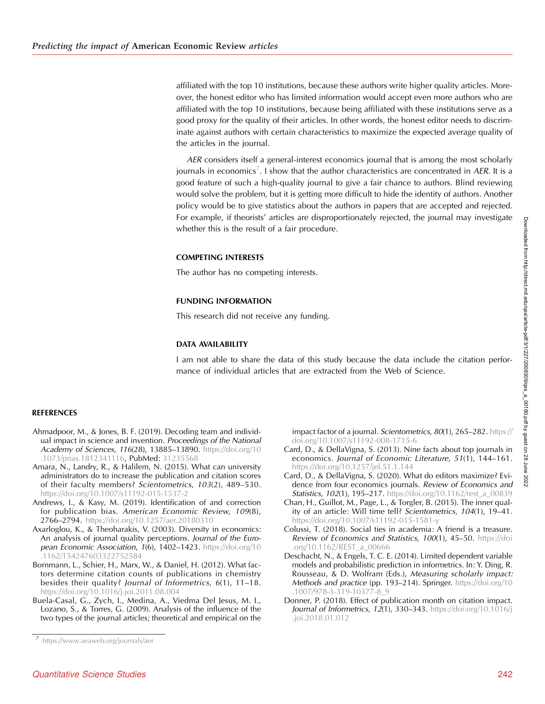<span id="page-15-0"></span>affiliated with the top 10 institutions, because these authors write higher quality articles. Moreover, the honest editor who has limited information would accept even more authors who are affiliated with the top 10 institutions, because being affiliated with these institutions serve as a good proxy for the quality of their articles. In other words, the honest editor needs to discriminate against authors with certain characteristics to maximize the expected average quality of the articles in the journal.

AER considers itself a general-interest economics journal that is among the most scholarly journals in economics<sup>7</sup>. I show that the author characteristics are concentrated in AER. It is a good feature of such a high-quality journal to give a fair chance to authors. Blind reviewing would solve the problem, but it is getting more difficult to hide the identity of authors. Another policy would be to give statistics about the authors in papers that are accepted and rejected. For example, if theorists' articles are disproportionately rejected, the journal may investigate whether this is the result of a fair procedure.

#### COMPETING INTERESTS

The author has no competing interests.

#### FUNDING INFORMATION

This research did not receive any funding.

#### DATA AVAILABILITY

I am not able to share the data of this study because the data include the citation performance of individual articles that are extracted from the Web of Science.

#### **REFERENCES**

- Ahmadpoor, M., & Jones, B. F. (2019). Decoding team and individual impact in science and invention. Proceedings of the National Academy of Sciences, 116(28), 13885-13890. [https://doi.org/10](https://doi.org/10.1073/pnas.1812341116) [.1073/pnas.1812341116,](https://doi.org/10.1073/pnas.1812341116) PubMed: [31235568](https://pubmed.ncbi.nlm.nih.gov/31235568)
- Amara, N., Landry, R., & Halilem, N. (2015). What can university administrators do to increase the publication and citation scores of their faculty members? Scientometrics, 103(2), 489–530. <https://doi.org/10.1007/s11192-015-1537-2>
- Andrews, I., & Kasy, M. (2019). Identification of and correction for publication bias. American Economic Review, 109(8), 2766–2794. <https://doi.org/10.1257/aer.20180310>
- Axarloglou, K., & Theoharakis, V. (2003). Diversity in economics: An analysis of journal quality perceptions. Journal of the European Economic Association, 1(6), 1402-1423. [https://doi.org/10](https://doi.org/10.1162/154247603322752584) [.1162/154247603322752584](https://doi.org/10.1162/154247603322752584)
- Bornmann, L., Schier, H., Marx, W., & Daniel, H. (2012). What factors determine citation counts of publications in chemistry besides their quality? Journal of Informetrics, 6(1), 11–18. <https://doi.org/10.1016/j.joi.2011.08.004>
- Buela-Casal, G., Zych, I., Medina, A., Viedma Del Jesus, M. I., Lozano, S., & Torres, G. (2009). Analysis of the influence of the two types of the journal articles; theoretical and empirical on the

impact factor of a journal. Scientometrics, 80(1), 265–282. [https://](https://doi.org/10.1007/s11192-008-1715-6) [doi.org/10.1007/s11192-008-1715-6](https://doi.org/10.1007/s11192-008-1715-6)

- Card, D., & DellaVigna, S. (2013). Nine facts about top journals in economics. Journal of Economic Literature, 51(1), 144–161. <https://doi.org/10.1257/jel.51.1.144>
- Card, D., & DellaVigna, S. (2020). What do editors maximize? Evidence from four economics journals. Review of Economics and Statistics, 102(1), 195-217. [https://doi.org/10.1162/rest\\_a\\_00839](https://doi.org/10.1162/rest_a_00839)
- Chan, H., Guillot, M., Page, L., & Torgler, B. (2015). The inner quality of an article: Will time tell? Scientometrics, 104(1), 19–41. <https://doi.org/10.1007/s11192-015-1581-y>
- Colussi, T. (2018). Social ties in academia: A friend is a treasure. Review of Economics and Statistics, 100(1), 45-50. [https://doi](https://doi.org/10.1162/REST_a_00666) [.org/10.1162/REST\\_a\\_00666](https://doi.org/10.1162/REST_a_00666)
- Deschacht, N., & Engels, T. C. E. (2014). Limited dependent variable models and probabilistic prediction in informetrics. In: Y. Ding, R. Rousseau, & D. Wolfram (Eds.), Measuring scholarly impact: Methods and practice (pp. 193-214). Springer. [https://doi.org/10](https://doi.org/10.1007/978-3-319-10377-8_9) [.1007/978-3-319-10377-8\\_9](https://doi.org/10.1007/978-3-319-10377-8_9)
- Donner, P. (2018). Effect of publication month on citation impact. Journal of Informetrics, 12(1), 330-343. [https://doi.org/10.1016/j](https://doi.org/10.1016/j.joi.2018.01.012) [.joi.2018.01.012](https://doi.org/10.1016/j.joi.2018.01.012)

<sup>7</sup> <https://www.aeaweb.org/journals/aer>